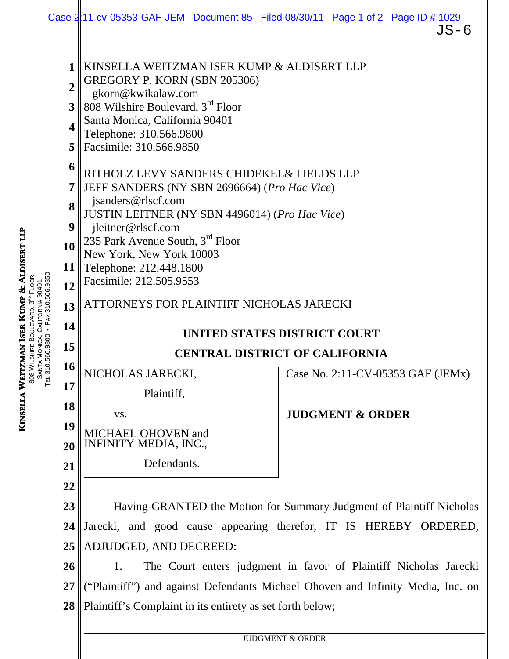|                                                                                                           |    |                                                                                                                                                                                                                                                                                                                                                                                                                                                                                                                                                                                                                                                    | Case 211-cv-05353-GAF-JEM Document 85 Filed 08/30/11 Page 1 of 2 Page ID #:1029<br>JS-6 |  |
|-----------------------------------------------------------------------------------------------------------|----|----------------------------------------------------------------------------------------------------------------------------------------------------------------------------------------------------------------------------------------------------------------------------------------------------------------------------------------------------------------------------------------------------------------------------------------------------------------------------------------------------------------------------------------------------------------------------------------------------------------------------------------------------|-----------------------------------------------------------------------------------------|--|
| 1<br>$\overline{2}$<br>3<br>$\boldsymbol{4}$<br>5<br>6<br>7<br>8<br>9<br>10<br>11<br>12<br>13<br>14<br>15 |    | KINSELLA WEITZMAN ISER KUMP & ALDISERT LLP<br>GREGORY P. KORN (SBN 205306)<br>gkorn@kwikalaw.com<br>808 Wilshire Boulevard, 3 <sup>rd</sup> Floor<br>Santa Monica, California 90401<br>Telephone: 310.566.9800<br>Facsimile: 310.566.9850<br>RITHOLZ LEVY SANDERS CHIDEKEL& FIELDS LLP<br>JEFF SANDERS (NY SBN 2696664) (Pro Hac Vice)<br>jsanders@rlscf.com<br>JUSTIN LEITNER (NY SBN 4496014) (Pro Hac Vice)<br>jleitner@rlscf.com<br>235 Park Avenue South, 3 <sup>rd</sup> Floor<br>New York, New York 10003<br>Telephone: 212.448.1800<br>Facsimile: 212.505.9553<br>ATTORNEYS FOR PLAINTIFF NICHOLAS JARECKI<br>UNITED STATES DISTRICT COURT |                                                                                         |  |
|                                                                                                           |    | <b>CENTRAL DISTRICT OF CALIFORNIA</b>                                                                                                                                                                                                                                                                                                                                                                                                                                                                                                                                                                                                              |                                                                                         |  |
| Í                                                                                                         | 16 | NICHOLAS JARECKI,                                                                                                                                                                                                                                                                                                                                                                                                                                                                                                                                                                                                                                  | Case No. 2:11-CV-05353 GAF (JEMx)                                                       |  |
|                                                                                                           | 17 | Plaintiff,                                                                                                                                                                                                                                                                                                                                                                                                                                                                                                                                                                                                                                         |                                                                                         |  |
|                                                                                                           | 18 | VS.                                                                                                                                                                                                                                                                                                                                                                                                                                                                                                                                                                                                                                                | <b>JUDGMENT &amp; ORDER</b>                                                             |  |
|                                                                                                           | 19 | MICHAEL OHOVEN and<br><b>INFINITY MEDIA, INC.,</b>                                                                                                                                                                                                                                                                                                                                                                                                                                                                                                                                                                                                 |                                                                                         |  |
|                                                                                                           | 20 | Defendants.                                                                                                                                                                                                                                                                                                                                                                                                                                                                                                                                                                                                                                        |                                                                                         |  |
| 21<br>22                                                                                                  |    |                                                                                                                                                                                                                                                                                                                                                                                                                                                                                                                                                                                                                                                    |                                                                                         |  |
|                                                                                                           | 23 | Having GRANTED the Motion for Summary Judgment of Plaintiff Nicholas                                                                                                                                                                                                                                                                                                                                                                                                                                                                                                                                                                               |                                                                                         |  |
|                                                                                                           | 24 | Jarecki, and good cause appearing therefor, IT IS HEREBY ORDERED,                                                                                                                                                                                                                                                                                                                                                                                                                                                                                                                                                                                  |                                                                                         |  |
|                                                                                                           | 25 | ADJUDGED, AND DECREED:                                                                                                                                                                                                                                                                                                                                                                                                                                                                                                                                                                                                                             |                                                                                         |  |
|                                                                                                           | 26 | The Court enters judgment in favor of Plaintiff Nicholas Jarecki<br>1.                                                                                                                                                                                                                                                                                                                                                                                                                                                                                                                                                                             |                                                                                         |  |
|                                                                                                           | 27 | ("Plaintiff") and against Defendants Michael Ohoven and Infinity Media, Inc. on                                                                                                                                                                                                                                                                                                                                                                                                                                                                                                                                                                    |                                                                                         |  |
|                                                                                                           | 28 | Plaintiff's Complaint in its entirety as set forth below;                                                                                                                                                                                                                                                                                                                                                                                                                                                                                                                                                                                          |                                                                                         |  |
|                                                                                                           |    | <b>JUDGMENT &amp; ORDER</b>                                                                                                                                                                                                                                                                                                                                                                                                                                                                                                                                                                                                                        |                                                                                         |  |
|                                                                                                           |    |                                                                                                                                                                                                                                                                                                                                                                                                                                                                                                                                                                                                                                                    |                                                                                         |  |

KINSELLA WEITZMAN ISER KUMP & ALDISERT LLP 808 WILSHIRE BOULEVARD, 3<sup>rd</sup> **FLOOR** 

**SANTA** 

MONICA, CALIFORNIA 90401 TEL 310.566.9800 • FAX 310.566.9850